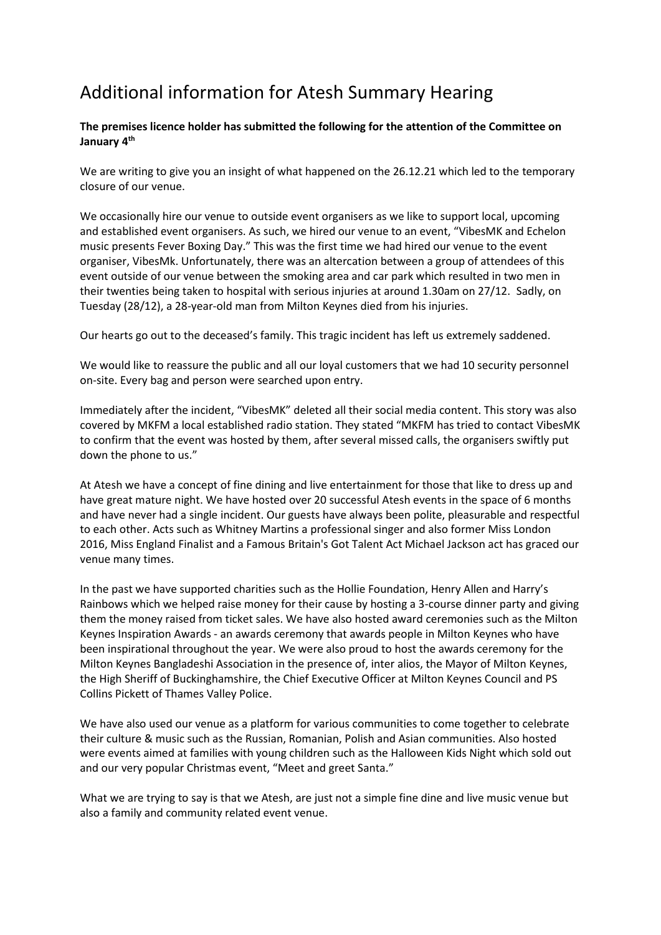## Additional information for Atesh Summary Hearing

## **The premises licence holder has submitted the following for the attention of the Committee on January 4th**

We are writing to give you an insight of what happened on the 26.12.21 which led to the temporary closure of our venue.

We occasionally hire our venue to outside event organisers as we like to support local, upcoming and established event organisers. As such, we hired our venue to an event, "VibesMK and Echelon music presents Fever Boxing Day." This was the first time we had hired our venue to the event organiser, VibesMk. Unfortunately, there was an altercation between a group of attendees of this event outside of our venue between the smoking area and car park which resulted in two men in their twenties being taken to hospital with serious injuries at around 1.30am on 27/12. Sadly, on Tuesday (28/12), a 28-year-old man from Milton Keynes died from his injuries.

Our hearts go out to the deceased's family. This tragic incident has left us extremely saddened.

We would like to reassure the public and all our loyal customers that we had 10 security personnel on-site. Every bag and person were searched upon entry.

Immediately after the incident, "VibesMK" deleted all their social media content. This story was also covered by MKFM a local established radio station. They stated "MKFM has tried to contact VibesMK to confirm that the event was hosted by them, after several missed calls, the organisers swiftly put down the phone to us."

At Atesh we have a concept of fine dining and live entertainment for those that like to dress up and have great mature night. We have hosted over 20 successful Atesh events in the space of 6 months and have never had a single incident. Our guests have always been polite, pleasurable and respectful to each other. Acts such as Whitney Martins a professional singer and also former Miss London 2016, Miss England Finalist and a Famous Britain's Got Talent Act Michael Jackson act has graced our venue many times.

In the past we have supported charities such as the Hollie Foundation, Henry Allen and Harry's Rainbows which we helped raise money for their cause by hosting a 3-course dinner party and giving them the money raised from ticket sales. We have also hosted award ceremonies such as the Milton Keynes Inspiration Awards - an awards ceremony that awards people in Milton Keynes who have been inspirational throughout the year. We were also proud to host the awards ceremony for the Milton Keynes Bangladeshi Association in the presence of, inter alios, the Mayor of Milton Keynes, the High Sheriff of Buckinghamshire, the Chief Executive Officer at Milton Keynes Council and PS Collins Pickett of Thames Valley Police.

We have also used our venue as a platform for various communities to come together to celebrate their culture & music such as the Russian, Romanian, Polish and Asian communities. Also hosted were events aimed at families with young children such as the Halloween Kids Night which sold out and our very popular Christmas event, "Meet and greet Santa."

What we are trying to say is that we Atesh, are just not a simple fine dine and live music venue but also a family and community related event venue.